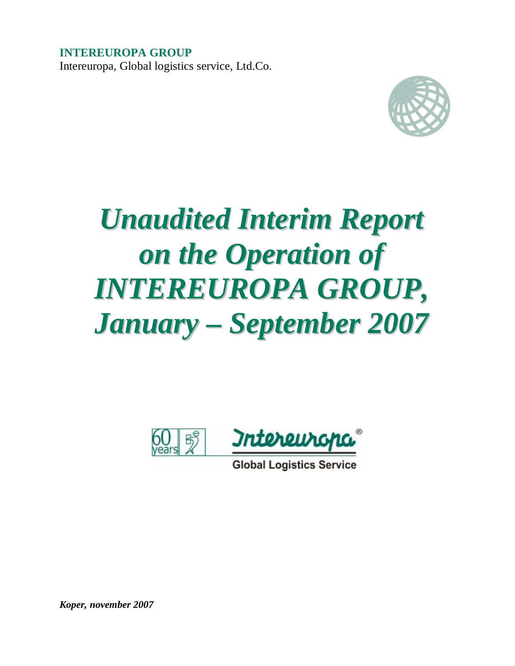**INTEREUROPA GROUP**  Intereuropa, Global logistics service, Ltd.Co.



# *Unaudited Interim Report on the Operation of INTEREUROPA GROUP, January – September 2007*



**Global Logistics Service** 

*Koper, november 2007*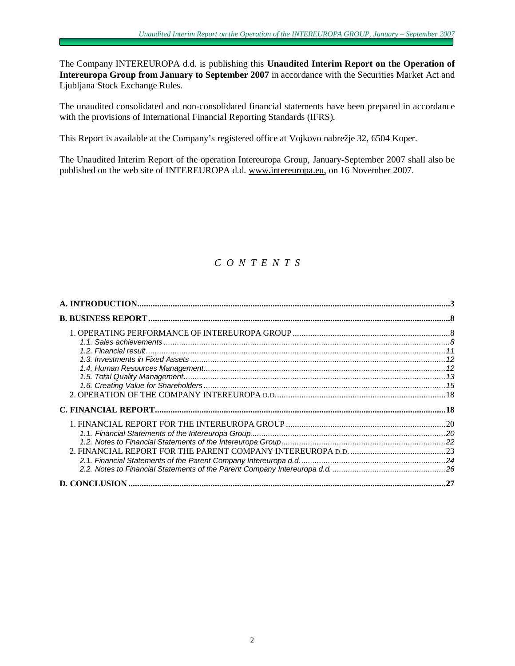The Company INTEREUROPA d.d. is publishing this **Unaudited Interim Report on the Operation of Intereuropa Group from January to September 2007** in accordance with the Securities Market Act and Ljubljana Stock Exchange Rules.

The unaudited consolidated and non-consolidated financial statements have been prepared in accordance with the provisions of International Financial Reporting Standards (IFRS).

This Report is available at the Company's registered office at Vojkovo nabrežje 32, 6504 Koper.

The Unaudited Interim Report of the operation Intereuropa Group, January-September 2007 shall also be published on the web site of INTEREUROPA d.d. [www.intereuropa.eu](http://www.intereuropa.eu), on 16 November 2007.

# *C O N T E N T S*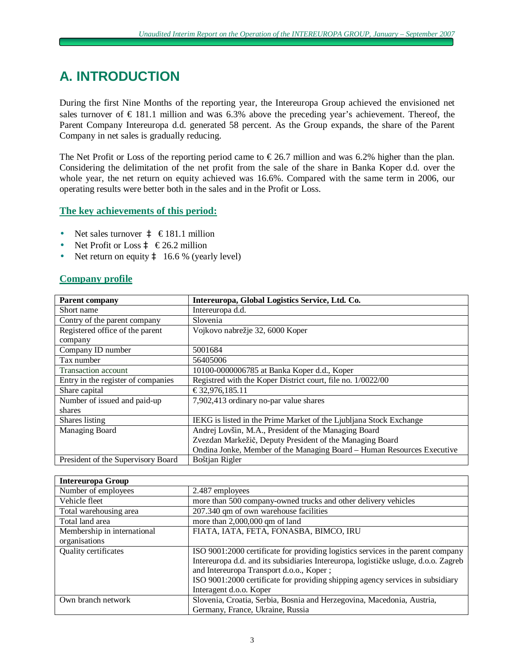# **A. INTRODUCTION**

During the first Nine Months of the reporting year, the Intereuropa Group achieved the envisioned net sales turnover of  $\epsilon$  181.1 million and was 6.3% above the preceding year's achievement. Thereof, the Parent Company Intereuropa d.d. generated 58 percent. As the Group expands, the share of the Parent Company in net sales is gradually reducing.

The Net Profit or Loss of the reporting period came to  $\epsilon$ 26.7 million and was 6.2% higher than the plan. Considering the delimitation of the net profit from the sale of the share in Banka Koper d.d. over the whole year, the net return on equity achieved was 16.6%. Compared with the same term in 2006, our operating results were better both in the sales and in the Profit or Loss.

# **The key achievements of this period:**

- Net sales turnover  $\hat{a} \in 181.1$  million
- Net Profit or Loss  $\hat{a} \in 26.2$  million
- Net return on equity  $\hat{a}$  16.6 % (yearly level)

# **Company profile**

| <b>Parent company</b>              | Intereuropa, Global Logistics Service, Ltd. Co.                        |
|------------------------------------|------------------------------------------------------------------------|
| Short name                         | Intereuropa d.d.                                                       |
| Contry of the parent company       | Slovenia                                                               |
| Registered office of the parent    | Vojkovo nabrežje 32, 6000 Koper                                        |
| company                            |                                                                        |
| Company ID number                  | 5001684                                                                |
| Tax number                         | 56405006                                                               |
| <b>Transaction account</b>         | 10100-0000006785 at Banka Koper d.d., Koper                            |
| Entry in the register of companies | Registred with the Koper District court, file no. 1/0022/00            |
| Share capital                      | €32,976,185.11                                                         |
| Number of issued and paid-up       | 7,902,413 ordinary no-par value shares                                 |
| shares                             |                                                                        |
| Shares listing                     | IEKG is listed in the Prime Market of the Ljubliana Stock Exchange     |
| Managing Board                     | Andrej Lovšin, M.A., President of the Managing Board                   |
|                                    | Zvezdan Markežič, Deputy President of the Managing Board               |
|                                    | Ondina Jonke, Member of the Managing Board – Human Resources Executive |
| President of the Supervisory Board | Boštjan Rigler                                                         |

| <b>Intereuropa Group</b>    |                                                                                     |
|-----------------------------|-------------------------------------------------------------------------------------|
| Number of employees         | 2.487 employees                                                                     |
| Vehicle fleet               | more than 500 company-owned trucks and other delivery vehicles                      |
| Total warehousing area      | 207.340 qm of own warehouse facilities                                              |
| Total land area             | more than 2,000,000 qm of land                                                      |
| Membership in international | FIATA, IATA, FETA, FONASBA, BIMCO, IRU                                              |
| organisations               |                                                                                     |
| Quality certificates        | ISO 9001:2000 certificate for providing logistics services in the parent company    |
|                             | Intereuropa d.d. and its subsidiaries Intereuropa, logističke usluge, d.o.o. Zagreb |
|                             | and Intereuropa Transport d.o.o., Koper;                                            |
|                             | ISO 9001:2000 certificate for providing shipping agency services in subsidiary      |
|                             | Interagent d.o.o. Koper                                                             |
| Own branch network          | Slovenia, Croatia, Serbia, Bosnia and Herzegovina, Macedonia, Austria,              |
|                             | Germany, France, Ukraine, Russia                                                    |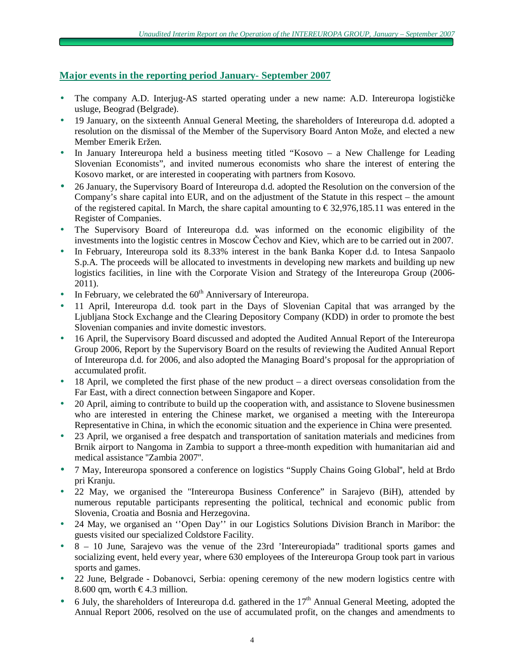# **Major events in the reporting period January- September 2007**

- The company A.D. Interjug-AS started operating under a new name: A.D. Intereuropa logističke usluge, Beograd (Belgrade).
- 19 January, on the sixteenth Annual General Meeting, the shareholders of Intereuropa d.d. adopted a resolution on the dismissal of the Member of the Supervisory Board Anton Može, and elected a new Member Emerik Eržen.
- In January Intereuropa held a business meeting titled "Kosovo a New Challenge for Leading Slovenian Economists", and invited numerous economists who share the interest of entering the Kosovo market, or are interested in cooperating with partners from Kosovo.
- 26 January, the Supervisory Board of Intereuropa d.d. adopted the Resolution on the conversion of the Company's share capital into EUR, and on the adjustment of the Statute in this respect – the amount of the registered capital. In March, the share capital amounting to  $\epsilon$ 32,976,185.11 was entered in the Register of Companies.
- The Supervisory Board of Intereuropa d.d. was informed on the economic eligibility of the investments into the logistic centres in Moscow Čechov and Kiev, which are to be carried out in 2007.
- In February, Intereuropa sold its 8.33% interest in the bank Banka Koper d.d. to Intesa Sanpaolo S.p.A. The proceeds will be allocated to investments in developing new markets and building up new logistics facilities, in line with the Corporate Vision and Strategy of the Intereuropa Group (2006-2011).
- In February, we celebrated the  $60<sup>th</sup>$  Anniversary of Intereuropa.
- 11 April, Intereuropa d.d. took part in the Days of Slovenian Capital that was arranged by the Ljubljana Stock Exchange and the Clearing Depository Company (KDD) in order to promote the best Slovenian companies and invite domestic investors.
- 16 April, the Supervisory Board discussed and adopted the Audited Annual Report of the Intereuropa Group 2006, Report by the Supervisory Board on the results of reviewing the Audited Annual Report of Intereuropa d.d. for 2006, and also adopted the Managing Board's proposal for the appropriation of accumulated profit.
- 18 April, we completed the first phase of the new product a direct overseas consolidation from the Far East, with a direct connection between Singapore and Koper.
- 20 April, aiming to contribute to build up the cooperation with, and assistance to Slovene businessmen who are interested in entering the Chinese market, we organised a meeting with the Intereuropa Representative in China, in which the economic situation and the experience in China were presented.
- 23 April, we organised a free despatch and transportation of sanitation materials and medicines from Brnik airport to Nangoma in Zambia to support a three-month expedition with humanitarian aid and medical assistance ''Zambia 2007''.
- 7 May, Intereuropa sponsored a conference on logistics "Supply Chains Going Global", held at Brdo pri Kranju.
- 22 May, we organised the "Intereuropa Business Conference" in Sarajevo (BiH), attended by numerous reputable participants representing the political, technical and economic public from Slovenia, Croatia and Bosnia and Herzegovina.
- 24 May, we organised an ''Open Day'' in our Logistics Solutions Division Branch in Maribor: the guests visited our specialized Coldstore Facility.
- 8 10 June, Sarajevo was the venue of the 23rd 'Intereuropiada'' traditional sports games and socializing event, held every year, where 630 employees of the Intereuropa Group took part in various sports and games.
- 22 June, Belgrade Dobanovci, Serbia: opening ceremony of the new modern logistics centre with 8.600 qm, worth  $\text{\textsterling}4.3$  million.
- 6 July, the shareholders of Intereuropa d.d. gathered in the  $17<sup>th</sup>$  Annual General Meeting, adopted the Annual Report 2006, resolved on the use of accumulated profit, on the changes and amendments to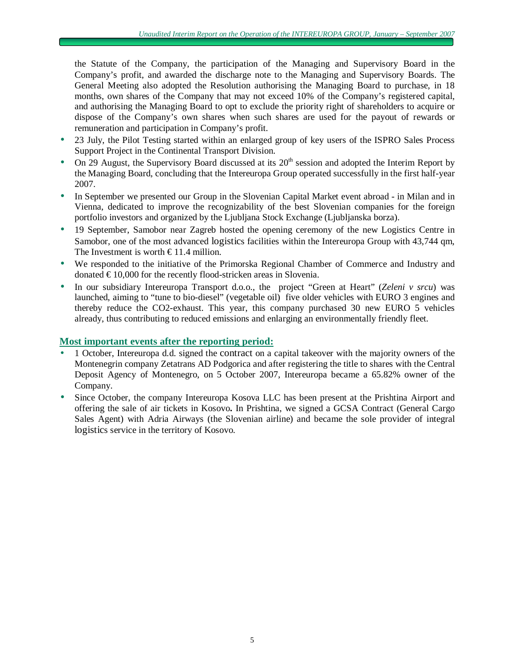the Statute of the Company, the participation of the Managing and Supervisory Board in the Company's profit, and awarded the discharge note to the Managing and Supervisory Boards. The General Meeting also adopted the Resolution authorising the Managing Board to purchase, in 18 months, own shares of the Company that may not exceed 10% of the Company's registered capital, and authorising the Managing Board to opt to exclude the priority right of shareholders to acquire or dispose of the Company's own shares when such shares are used for the payout of rewards or remuneration and participation in Company's profit.

- 23 July, the Pilot Testing started within an enlarged group of key users of the ISPRO Sales Process Support Project in the Continental Transport Division.
- On 29 August, the Supervisory Board discussed at its  $20<sup>th</sup>$  session and adopted the Interim Report by the Managing Board, concluding that the Intereuropa Group operated successfully in the first half-year 2007.
- In September we presented our Group in the Slovenian Capital Market event abroad in Milan and in Vienna, dedicated to improve the recognizability of the best Slovenian companies for the foreign portfolio investors and organized by the Ljubljana Stock Exchange (Ljubljanska borza).
- 19 September, Samobor near Zagreb hosted the opening ceremony of the new Logistics Centre in Samobor, one of the most advanced logistics facilities within the Intereuropa Group with 43,744 qm, The Investment is worth  $\in$ 11.4 million.
- We responded to the initiative of the Primorska Regional Chamber of Commerce and Industry and donated € 10,000 for the recently flood-stricken areas in Slovenia.
- In our subsidiary Intereuropa Transport d.o.o., the project "Green at Heart" (*Zeleni v srcu*) was launched, aiming to "tune to bio-diesel" (vegetable oil) five older vehicles with EURO 3 engines and thereby reduce the CO2-exhaust. This year, this company purchased 30 new EURO 5 vehicles already, thus contributing to reduced emissions and enlarging an environmentally friendly fleet.

# **Most important events after the reporting period:**

- 1 October, Intereuropa d.d. signed the contract on a capital takeover with the majority owners of the Montenegrin company Zetatrans AD Podgorica and after registering the title to shares with the Central Deposit Agency of Montenegro, on 5 October 2007, Intereuropa became a 65.82% owner of the Company.
- Since October, the company Intereuropa Kosova LLC has been present at the Prishtina Airport and offering the sale of air tickets in Kosovo**.** In Prishtina, we signed a GCSA Contract (General Cargo Sales Agent) with Adria Airways (the Slovenian airline) and became the sole provider of integral logistics service in the territory of Kosovo.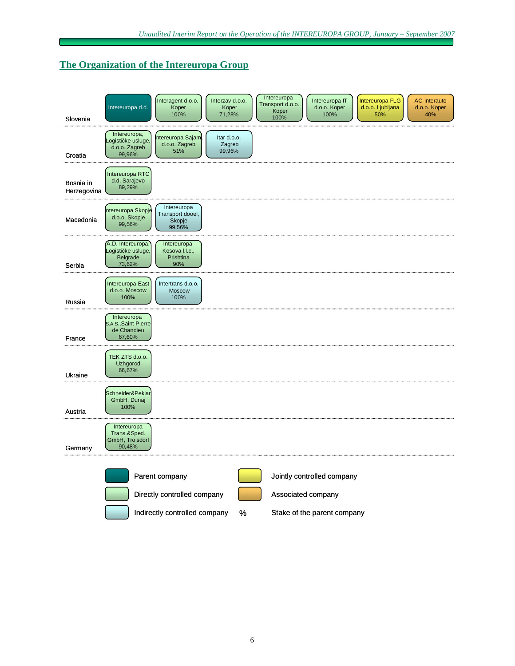# **The Organization of the Intereuropa Group**

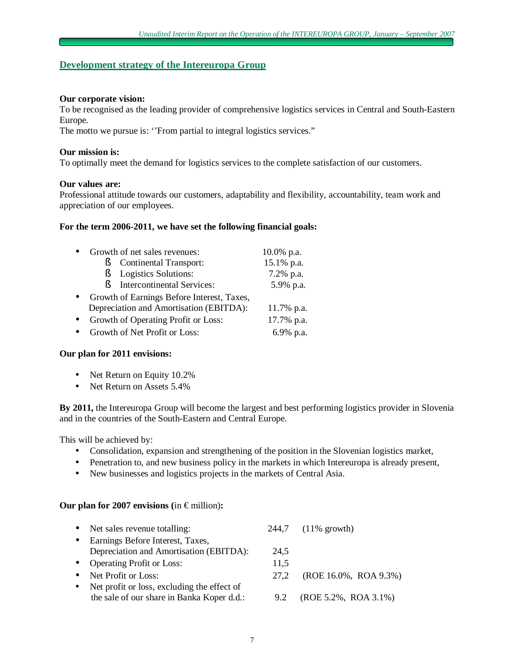### **Development strategy of the Intereuropa Group**

#### **Our corporate vision:**

To be recognised as the leading provider of comprehensive logistics services in Central and South-Eastern Europe.

The motto we pursue is: ''From partial to integral logistics services."

### **Our mission is:**

To optimally meet the demand for logistics services to the complete satisfaction of our customers.

### **Our values are:**

Professional attitude towards our customers, adaptability and flexibility, accountability, team work and appreciation of our employees.

### **For the term 2006-2011, we have set the following financial goals:**

|           | Growth of net sales revenues:              | $10.0\%$ p.a. |
|-----------|--------------------------------------------|---------------|
|           | <b>Continental Transport:</b><br>ş         | 15.1% p.a.    |
|           | Logistics Solutions:<br>Ŕ                  | 7.2% p.a.     |
|           | <b>Intercontinental Services:</b><br>Þ     | 5.9% p.a.     |
| $\bullet$ | Growth of Earnings Before Interest, Taxes, |               |
|           | Depreciation and Amortisation (EBITDA):    | 11.7% p.a.    |
|           | Growth of Operating Profit or Loss:        | 17.7% p.a.    |
|           | Growth of Net Profit or Loss:              | 6.9% p.a.     |

### **Our plan for 2011 envisions:**

- Net Return on Equity 10.2%
- Net Return on Assets 5.4%

**By 2011,** the Intereuropa Group will become the largest and best performing logistics provider in Slovenia and in the countries of the South-Eastern and Central Europe.

This will be achieved by:

- Consolidation, expansion and strengthening of the position in the Slovenian logistics market,
- Penetration to, and new business policy in the markets in which Intereuropa is already present,
- New businesses and logistics projects in the markets of Central Asia.

### **Our plan for 2007 envisions (in**  $\epsilon$  **million):**

|           | • Net sales revenue totalling:              |      | 244,7 (11% growth)       |
|-----------|---------------------------------------------|------|--------------------------|
| $\bullet$ | Earnings Before Interest, Taxes,            |      |                          |
|           | Depreciation and Amortisation (EBITDA):     | 24.5 |                          |
|           | • Operating Profit or Loss:                 | 11,5 |                          |
| $\bullet$ | Net Profit or Loss:                         | 27.2 | (ROE 16.0%, ROA 9.3%)    |
| $\bullet$ | Net profit or loss, excluding the effect of |      |                          |
|           | the sale of our share in Banka Koper d.d.:  | 9.2  | $(ROE 5.2\%, ROA 3.1\%)$ |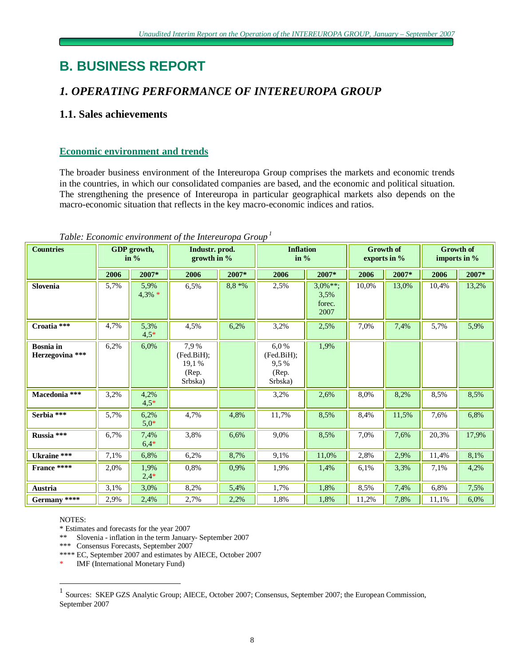# **B. BUSINESS REPORT**

# *1. OPERATING PERFORMANCE OF INTEREUROPA GROUP*

# **1.1. Sales achievements**

# **Economic environment and trends**

The broader business environment of the Intereuropa Group comprises the markets and economic trends in the countries, in which our consolidated companies are based, and the economic and political situation. The strengthening the presence of Intereuropa in particular geographical markets also depends on the macro-economic situation that reflects in the key macro-economic indices and ratios.

| <b>Countries</b>                    | GDP growth,<br>in $%$ |                | Industr. prod.<br>growth in $\%$                |               | <b>Inflation</b><br>in $%$                     |                                      | <b>Growth of</b><br>exports in % |       | <b>Growth of</b><br>imports in $%$ |       |
|-------------------------------------|-----------------------|----------------|-------------------------------------------------|---------------|------------------------------------------------|--------------------------------------|----------------------------------|-------|------------------------------------|-------|
|                                     | 2006                  | 2007*          | 2006                                            | 2007*<br>2006 |                                                | 2007*                                | 2006                             | 2007* | 2006                               | 2007* |
| Slovenia                            | 5,7%                  | 5,9%<br>4,3% * | 6,5%                                            | $8.8 * %$     | 2,5%                                           | $3,0\%**;$<br>3,5%<br>forec.<br>2007 | 10,0%                            | 13,0% | 10,4%                              | 13,2% |
| Croatia ***                         | 4,7%                  | 5,3%<br>$4,5*$ | 4,5%                                            | 6,2%          | 3,2%                                           | 2,5%                                 | 7,0%                             | 7,4%  | 5,7%                               | 5,9%  |
| <b>Bosnia</b> in<br>Herzegovina *** | 6,2%                  | 6,0%           | 7.9%<br>(Fed.BiH);<br>19,1%<br>(Rep.<br>Srbska) |               | 6,0%<br>(Fed.BiH);<br>9.5%<br>(Rep.<br>Srbska) | 1,9%                                 |                                  |       |                                    |       |
| Macedonia ***                       | 3,2%                  | 4,2%<br>$4,5*$ |                                                 |               | 3,2%                                           | 2,6%                                 | 8,0%                             | 8,2%  | 8,5%                               | 8,5%  |
| Serbia ***                          | 5,7%                  | 6,2%<br>$5.0*$ | 4,7%                                            | 4,8%          | 11,7%                                          | 8,5%                                 | 8,4%                             | 11,5% | 7,6%                               | 6,8%  |
| Russia ***                          | 6,7%                  | 7,4%<br>$6,4*$ | 3,8%                                            | 6,6%          | 9.0%                                           | 8,5%                                 | 7,0%                             | 7,6%  | 20,3%                              | 17,9% |
| Ukraine ***                         | 7,1%                  | 6,8%           | 6,2%                                            | 8,7%          | 9,1%                                           | 11,0%                                | 2,8%                             | 2,9%  | 11,4%                              | 8,1%  |
| France ****                         | 2,0%                  | 1,9%<br>$2,4*$ | 0.8%                                            | 0.9%          | 1,9%                                           | 1,4%                                 | 6,1%                             | 3,3%  | 7,1%                               | 4,2%  |
| Austria                             | 3,1%                  | 3,0%           | 8,2%                                            | 5,4%          | 1,7%                                           | 1,8%                                 | 8,5%                             | 7,4%  | 6,8%                               | 7,5%  |
| Germany ****                        | 2,9%                  | 2,4%           | 2,7%                                            | 2,2%          | 1,8%                                           | 1,8%                                 | 11,2%                            | 7,8%  | 11,1%                              | 6,0%  |

# *Table: Economic environment of the Intereuropa Group 1*

NOTES:

\* Estimates and forecasts for the year 2007

\*\* Slovenia - inflation in the term January- September 2007

\*\*\* Consensus Forecasts, September 2007

\*\*\*\* EC, September 2007 and estimates by AIECE, October 2007

IMF (International Monetary Fund)

 1 Sources: SKEP GZS Analytic Group; AIECE, October 2007; Consensus, September 2007; the European Commission, September 2007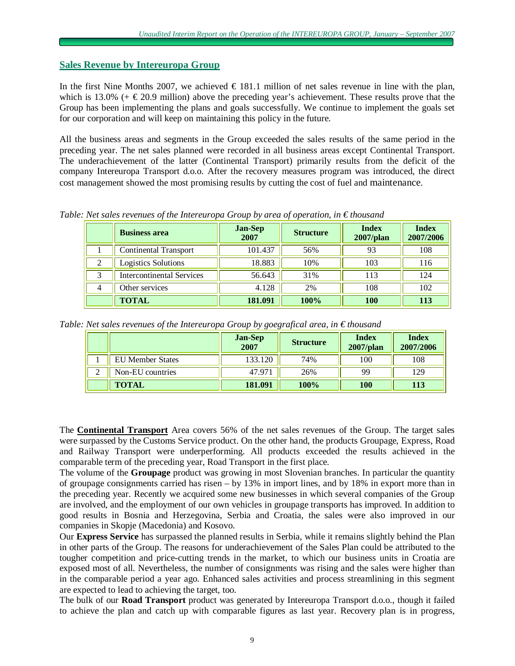### **Sales Revenue by Intereuropa Group**

In the first Nine Months 2007, we achieved  $\epsilon$  181.1 million of net sales revenue in line with the plan, which is 13.0% (+  $\text{\textsterling}20.9$  million) above the preceding year's achievement. These results prove that the Group has been implementing the plans and goals successfully. We continue to implement the goals set for our corporation and will keep on maintaining this policy in the future.

All the business areas and segments in the Group exceeded the sales results of the same period in the preceding year. The net sales planned were recorded in all business areas except Continental Transport. The underachievement of the latter (Continental Transport) primarily results from the deficit of the company Intereuropa Transport d.o.o. After the recovery measures program was introduced, the direct cost management showed the most promising results by cutting the cost of fuel and maintenance.

|                | <b>Business area</b>             | <b>Jan-Sep</b><br>2007 | <b>Structure</b> | <b>Index</b><br>2007/plan | <b>Index</b><br>2007/2006 |
|----------------|----------------------------------|------------------------|------------------|---------------------------|---------------------------|
|                | <b>Continental Transport</b>     | 101.437                | 56%              | 93                        | 108                       |
| റ              | <b>Logistics Solutions</b>       | 18.883                 | 10%              | 103                       | 116                       |
| 2              | <b>Intercontinental Services</b> | 56.643                 | 31%              | 113                       | 124                       |
| $\overline{4}$ | Other services                   | 4.128                  | 2%               | 108                       | 102                       |
|                | <b>TOTAL</b>                     | 181.091                | 100%             | <b>100</b>                | 113                       |

*Table: Net sales revenues of the Intereuropa Group by area of operation, in € thousand* 

*Table: Net sales revenues of the Intereuropa Group by goegrafical area, in € thousand* 

|                         | <b>Jan-Sep</b><br>2007 | <b>Structure</b> | <b>Index</b><br>$2007$ /plan | <b>Index</b><br>2007/2006 |
|-------------------------|------------------------|------------------|------------------------------|---------------------------|
| <b>EU Member States</b> | 133.120                | 74%              | 100                          | 108                       |
| Non-EU countries        | 47.971                 | 26%              | 99                           | 129                       |
| <b>TOTAL</b>            | 181.091                | 100%             | 100                          | 113                       |

The **Continental Transport** Area covers 56% of the net sales revenues of the Group. The target sales were surpassed by the Customs Service product. On the other hand, the products Groupage, Express, Road and Railway Transport were underperforming. All products exceeded the results achieved in the comparable term of the preceding year, Road Transport in the first place.

The volume of the **Groupage** product was growing in most Slovenian branches. In particular the quantity of groupage consignments carried has risen – by 13% in import lines, and by 18% in export more than in the preceding year. Recently we acquired some new businesses in which several companies of the Group are involved, and the employment of our own vehicles in groupage transports has improved. In addition to good results in Bosnia and Herzegovina, Serbia and Croatia, the sales were also improved in our companies in Skopje (Macedonia) and Kosovo.

Our **Express Service** has surpassed the planned results in Serbia, while it remains slightly behind the Plan in other parts of the Group. The reasons for underachievement of the Sales Plan could be attributed to the tougher competition and price-cutting trends in the market, to which our business units in Croatia are exposed most of all. Nevertheless, the number of consignments was rising and the sales were higher than in the comparable period a year ago. Enhanced sales activities and process streamlining in this segment are expected to lead to achieving the target, too.

The bulk of our **Road Transport** product was generated by Intereuropa Transport d.o.o., though it failed to achieve the plan and catch up with comparable figures as last year. Recovery plan is in progress,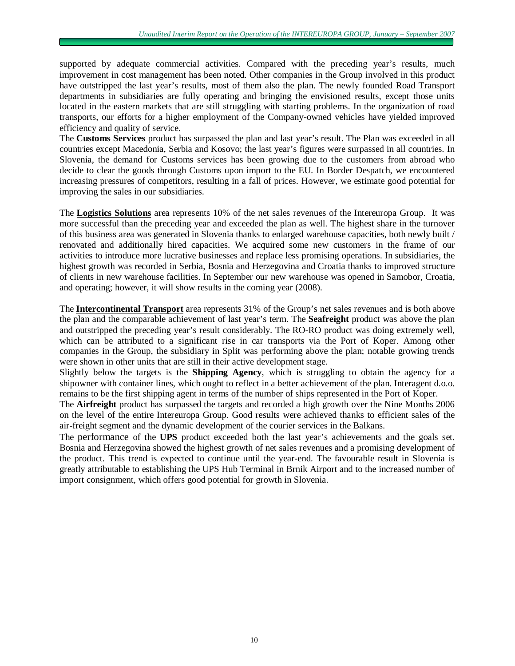supported by adequate commercial activities. Compared with the preceding year's results, much improvement in cost management has been noted. Other companies in the Group involved in this product have outstripped the last year's results, most of them also the plan. The newly founded Road Transport departments in subsidiaries are fully operating and bringing the envisioned results, except those units located in the eastern markets that are still struggling with starting problems. In the organization of road transports, our efforts for a higher employment of the Company-owned vehicles have yielded improved efficiency and quality of service.

The **Customs Services** product has surpassed the plan and last year's result. The Plan was exceeded in all countries except Macedonia, Serbia and Kosovo; the last year's figures were surpassed in all countries. In Slovenia, the demand for Customs services has been growing due to the customers from abroad who decide to clear the goods through Customs upon import to the EU. In Border Despatch, we encountered increasing pressures of competitors, resulting in a fall of prices. However, we estimate good potential for improving the sales in our subsidiaries.

The **Logistics Solutions** area represents 10% of the net sales revenues of the Intereuropa Group. It was more successful than the preceding year and exceeded the plan as well. The highest share in the turnover of this business area was generated in Slovenia thanks to enlarged warehouse capacities, both newly built / renovated and additionally hired capacities. We acquired some new customers in the frame of our activities to introduce more lucrative businesses and replace less promising operations. In subsidiaries, the highest growth was recorded in Serbia, Bosnia and Herzegovina and Croatia thanks to improved structure of clients in new warehouse facilities. In September our new warehouse was opened in Samobor, Croatia, and operating; however, it will show results in the coming year (2008).

The **Intercontinental Transport** area represents 31% of the Group's net sales revenues and is both above the plan and the comparable achievement of last year's term. The **Seafreight** product was above the plan and outstripped the preceding year's result considerably. The RO-RO product was doing extremely well, which can be attributed to a significant rise in car transports via the Port of Koper. Among other companies in the Group, the subsidiary in Split was performing above the plan; notable growing trends were shown in other units that are still in their active development stage.

Slightly below the targets is the **Shipping Agency**, which is struggling to obtain the agency for a shipowner with container lines, which ought to reflect in a better achievement of the plan. Interagent d.o.o. remains to be the first shipping agent in terms of the number of ships represented in the Port of Koper.

The **Airfreight** product has surpassed the targets and recorded a high growth over the Nine Months 2006 on the level of the entire Intereuropa Group. Good results were achieved thanks to efficient sales of the air-freight segment and the dynamic development of the courier services in the Balkans.

The performance of the **UPS** product exceeded both the last year's achievements and the goals set. Bosnia and Herzegovina showed the highest growth of net sales revenues and a promising development of the product. This trend is expected to continue until the year-end. The favourable result in Slovenia is greatly attributable to establishing the UPS Hub Terminal in Brnik Airport and to the increased number of import consignment, which offers good potential for growth in Slovenia.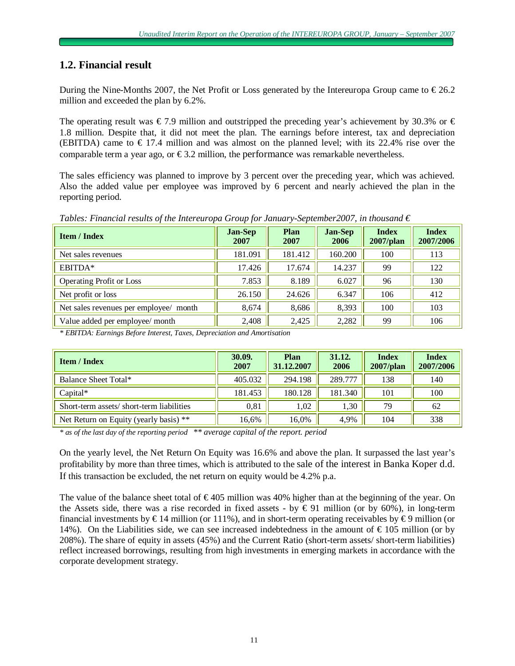# **1.2. Financial result**

During the Nine-Months 2007, the Net Profit or Loss generated by the Intereuropa Group came to  $\epsilon$  26.2 million and exceeded the plan by 6.2%.

The operating result was  $\epsilon$  7.9 million and outstripped the preceding year's achievement by 30.3% or  $\epsilon$ 1.8 million. Despite that, it did not meet the plan. The earnings before interest, tax and depreciation (EBITDA) came to  $\epsilon$  17.4 million and was almost on the planned level; with its 22.4% rise over the comparable term a year ago, or  $\epsilon$ 3.2 million, the performance was remarkable nevertheless.

The sales efficiency was planned to improve by 3 percent over the preceding year, which was achieved. Also the added value per employee was improved by 6 percent and nearly achieved the plan in the reporting period.

*Tables: Financial results of the Intereuropa Group for January-September2007, in thousand*  $\epsilon$ 

| <b>Item / Index</b>                    | <b>Jan-Sep</b><br>2007 | Plan<br>2007 | <b>Jan-Sep</b><br>2006 | <b>Index</b><br>$2007$ /plan | <b>Index</b><br>2007/2006 |
|----------------------------------------|------------------------|--------------|------------------------|------------------------------|---------------------------|
| Net sales revenues                     | 181.091                | 181.412      | 160.200                | 100                          | 113                       |
| EBITDA*                                | 17.426                 | 17.674       | 14.237                 | 99                           | 122                       |
| <b>Operating Profit or Loss</b>        | 7.853                  | 8.189        | 6.027                  | 96                           | 130                       |
| Net profit or loss                     | 26.150                 | 24.626       | 6.347                  | 106                          | 412                       |
| Net sales revenues per employee/ month | 8,674                  | 8,686        | 8,393                  | 100                          | 103                       |
| Value added per employee/ month        | 2,408                  | 2,425        | 2,282                  | 99                           | 106                       |

*\* EBITDA: Earnings Before Interest, Taxes, Depreciation and Amortisation* 

| <b>Item / Index</b>                      | 30.09.<br>2007 | Plan<br>31.12.2007 | 31.12.<br>2006 | <b>Index</b><br>$2007$ /plan | <b>Index</b><br>2007/2006 |
|------------------------------------------|----------------|--------------------|----------------|------------------------------|---------------------------|
| Balance Sheet Total*                     | 405.032        | 294.198            | 289.777        | 138                          | 140                       |
| $Capital*$                               | 181.453        | 180.128            | 181.340        | 101                          | 100                       |
| Short-term assets/short-term liabilities | 0,81           | 1,02               | 1,30           | 79                           | 62                        |
| Net Return on Equity (yearly basis) **   | 16,6%          | 16.0%              | 4,9%           | 104                          | 338                       |

*\* as of the last day of the reporting period \*\* average capital of the report. period*

On the yearly level, the Net Return On Equity was 16.6% and above the plan. It surpassed the last year's profitability by more than three times, which is attributed to the sale of the interest in Banka Koper d.d. If this transaction be excluded, the net return on equity would be 4.2% p.a.

The value of the balance sheet total of  $\epsilon$ 405 million was 40% higher than at the beginning of the year. On the Assets side, there was a rise recorded in fixed assets - by  $\epsilon$ 91 million (or by 60%), in long-term financial investments by  $\epsilon$ 14 million (or 111%), and in short-term operating receivables by  $\epsilon$ 9 million (or 14%). On the Liabilities side, we can see increased indebtedness in the amount of € 105 million (or by 208%). The share of equity in assets (45%) and the Current Ratio (short-term assets/ short-term liabilities) reflect increased borrowings, resulting from high investments in emerging markets in accordance with the corporate development strategy.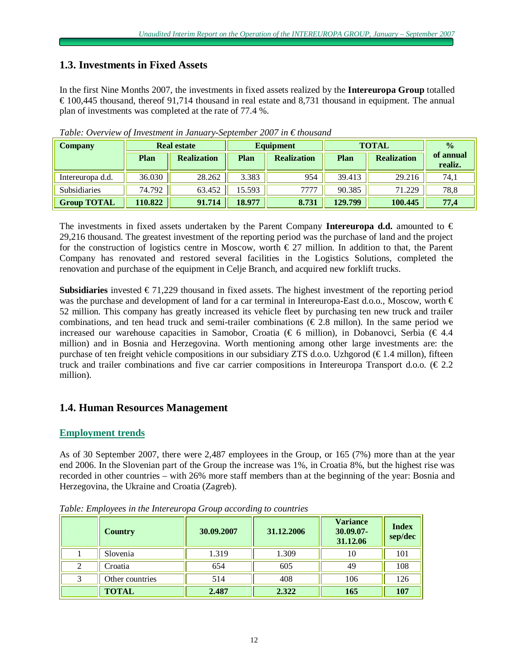# **1.3. Investments in Fixed Assets**

In the first Nine Months 2007, the investments in fixed assets realized by the **Intereuropa Group** totalled  $\epsilon$  100,445 thousand, thereof 91,714 thousand in real estate and 8,731 thousand in equipment. The annual plan of investments was completed at the rate of 77.4 %.

| <b>Company</b>      | <b>Real estate</b> |                    | <b>Equipment</b> |                    | <b>TOTAL</b> |                    | $\frac{0}{0}$        |
|---------------------|--------------------|--------------------|------------------|--------------------|--------------|--------------------|----------------------|
|                     | Plan               | <b>Realization</b> | Plan             | <b>Realization</b> | <b>Plan</b>  | <b>Realization</b> | of annual<br>realiz. |
| Intereuropa d.d.    | 36.030             | 28.262             | 3.383            | 954                | 39.413       | 29.216             | 74,1                 |
| <b>Subsidiaries</b> | 74.792             | 63.452             | 15.593           | 7777               | 90.385       | 71.229             | 78,8                 |
| <b>Group TOTAL</b>  | 110.822            | 91.714             | 18.977           | 8.731              | 129.799      | 100.445            | 77,4                 |

*Table: Overview of Investment in January-September 2007 in € thousand*

The investments in fixed assets undertaken by the Parent Company **Intereuropa d.d.** amounted to € 29,216 thousand. The greatest investment of the reporting period was the purchase of land and the project for the construction of logistics centre in Moscow, worth  $\epsilon$  27 million. In addition to that, the Parent Company has renovated and restored several facilities in the Logistics Solutions, completed the renovation and purchase of the equipment in Celje Branch, and acquired new forklift trucks.

**Subsidiaries** invested  $\epsilon$ 71,229 thousand in fixed assets. The highest investment of the reporting period was the purchase and development of land for a car terminal in Intereuropa-East d.o.o., Moscow, worth € 52 million. This company has greatly increased its vehicle fleet by purchasing ten new truck and trailer combinations, and ten head truck and semi-trailer combinations ( $\epsilon$ 2.8 millon). In the same period we increased our warehouse capacities in Samobor, Croatia ( $\epsilon$  6 million), in Dobanovci, Serbia ( $\epsilon$  4.4 million) and in Bosnia and Herzegovina. Worth mentioning among other large investments are: the purchase of ten freight vehicle compositions in our subsidiary ZTS d.o.o. Uzhgorod  $(\epsilon 1.4 \text{ million})$ , fifteen truck and trailer combinations and five car carrier compositions in Intereuropa Transport d.o.o. ( $\epsilon$ 2.2) million).

# **1.4. Human Resources Management**

# **Employment trends**

As of 30 September 2007, there were 2,487 employees in the Group, or 165 (7%) more than at the year end 2006. In the Slovenian part of the Group the increase was 1%, in Croatia 8%, but the highest rise was recorded in other countries – with 26% more staff members than at the beginning of the year: Bosnia and Herzegovina, the Ukraine and Croatia (Zagreb).

| <b>Country</b>  | 30.09.2007 | 31.12.2006 | <b>Variance</b><br>30.09.07-<br>31.12.06 | <b>Index</b><br>sep/dec |
|-----------------|------------|------------|------------------------------------------|-------------------------|
| Slovenia        | 1.319      | 1.309      | 10                                       | 101                     |
| Croatia         | 654        | 605        | 49                                       | 108                     |
| Other countries | 514        | 408        | 106                                      | 126                     |
| <b>TOTAL</b>    | 2.487      | 2.322      | 165                                      | 107                     |

*Table: Employees in the Intereuropa Group according to countries*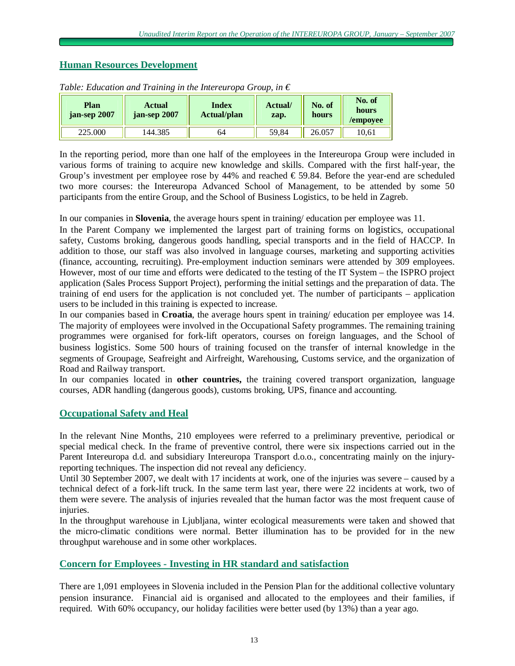# **Human Resources Development**

| Plan<br>jan-sep 2007 | <b>Actual</b><br>jan-sep 2007 | <b>Index</b><br><b>Actual/plan</b> | Actual/<br>zap. | No. of<br>hours | No. of<br>hours<br>/empoyee |
|----------------------|-------------------------------|------------------------------------|-----------------|-----------------|-----------------------------|
| 225.000              | .44.385                       | 64                                 | 59.84           | 26.057          | 10.61                       |

*Table: Education and Training in the Intereuropa Group, in*  $\epsilon$ 

In the reporting period, more than one half of the employees in the Intereuropa Group were included in various forms of training to acquire new knowledge and skills. Compared with the first half-year, the Group's investment per employee rose by 44% and reached  $\epsilon$  59.84. Before the year-end are scheduled two more courses: the Intereuropa Advanced School of Management, to be attended by some 50 participants from the entire Group, and the School of Business Logistics, to be held in Zagreb.

In our companies in **Slovenia**, the average hours spent in training/ education per employee was 11.

In the Parent Company we implemented the largest part of training forms on logistics, occupational safety, Customs broking, dangerous goods handling, special transports and in the field of HACCP. In addition to those, our staff was also involved in language courses, marketing and supporting activities (finance, accounting, recruiting). Pre-employment induction seminars were attended by 309 employees. However, most of our time and efforts were dedicated to the testing of the IT System – the ISPRO project application (Sales Process Support Project), performing the initial settings and the preparation of data. The training of end users for the application is not concluded yet. The number of participants – application users to be included in this training is expected to increase.

In our companies based in **Croatia**, the average hours spent in training/ education per employee was 14. The majority of employees were involved in the Occupational Safety programmes. The remaining training programmes were organised for fork-lift operators, courses on foreign languages, and the School of business logistics. Some 500 hours of training focused on the transfer of internal knowledge in the segments of Groupage, Seafreight and Airfreight, Warehousing, Customs service, and the organization of Road and Railway transport.

In our companies located in **other countries,** the training covered transport organization, language courses, ADR handling (dangerous goods), customs broking, UPS, finance and accounting.

# **Occupational Safety and Heal**

In the relevant Nine Months, 210 employees were referred to a preliminary preventive, periodical or special medical check. In the frame of preventive control, there were six inspections carried out in the Parent Intereuropa d.d. and subsidiary Intereuropa Transport d.o.o., concentrating mainly on the injuryreporting techniques. The inspection did not reveal any deficiency.

Until 30 September 2007, we dealt with 17 incidents at work, one of the injuries was severe – caused by a technical defect of a fork-lift truck. In the same term last year, there were 22 incidents at work, two of them were severe. The analysis of injuries revealed that the human factor was the most frequent cause of injuries.

In the throughput warehouse in Ljubljana, winter ecological measurements were taken and showed that the micro-climatic conditions were normal. Better illumination has to be provided for in the new throughput warehouse and in some other workplaces.

# **Concern for Employees - Investing in HR standard and satisfaction**

There are 1,091 employees in Slovenia included in the Pension Plan for the additional collective voluntary pension insurance. Financial aid is organised and allocated to the employees and their families, if required. With 60% occupancy, our holiday facilities were better used (by 13%) than a year ago.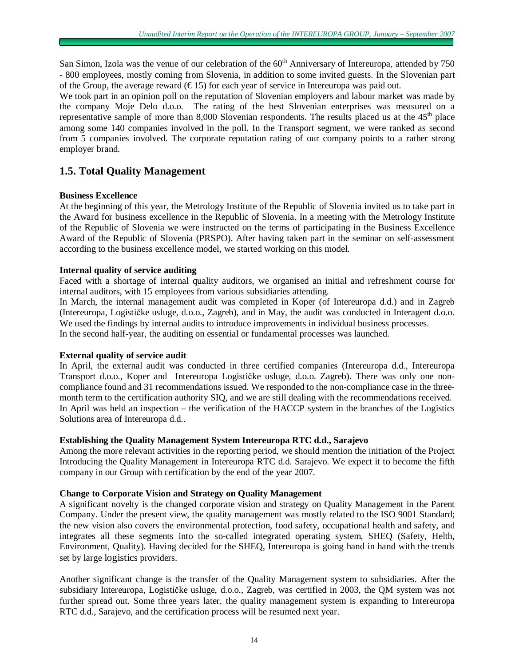San Simon, Izola was the venue of our celebration of the 60<sup>th</sup> Anniversary of Intereuropa, attended by 750 - 800 employees, mostly coming from Slovenia, in addition to some invited guests. In the Slovenian part of the Group, the average reward  $(\epsilon 15)$  for each year of service in Intereuropa was paid out.

We took part in an opinion poll on the reputation of Slovenian employers and labour market was made by the company Moje Delo d.o.o. The rating of the best Slovenian enterprises was measured on a representative sample of more than 8,000 Slovenian respondents. The results placed us at the  $45<sup>th</sup>$  place among some 140 companies involved in the poll. In the Transport segment, we were ranked as second from 5 companies involved. The corporate reputation rating of our company points to a rather strong employer brand.

# **1.5. Total Quality Management**

### **Business Excellence**

At the beginning of this year, the Metrology Institute of the Republic of Slovenia invited us to take part in the Award for business excellence in the Republic of Slovenia. In a meeting with the Metrology Institute of the Republic of Slovenia we were instructed on the terms of participating in the Business Excellence Award of the Republic of Slovenia (PRSPO). After having taken part in the seminar on self-assessment according to the business excellence model, we started working on this model.

### **Internal quality of service auditing**

Faced with a shortage of internal quality auditors, we organised an initial and refreshment course for internal auditors, with 15 employees from various subsidiaries attending.

In March, the internal management audit was completed in Koper (of Intereuropa d.d.) and in Zagreb (Intereuropa, Logističke usluge, d.o.o., Zagreb), and in May, the audit was conducted in Interagent d.o.o. We used the findings by internal audits to introduce improvements in individual business processes. In the second half-year, the auditing on essential or fundamental processes was launched.

### **External quality of service audit**

In April, the external audit was conducted in three certified companies (Intereuropa d.d., Intereuropa Transport d.o.o., Koper and Intereuropa Logističke usluge, d.o.o. Zagreb). There was only one noncompliance found and 31 recommendations issued. We responded to the non-compliance case in the threemonth term to the certification authority SIQ, and we are still dealing with the recommendations received. In April was held an inspection – the verification of the HACCP system in the branches of the Logistics Solutions area of Intereuropa d.d..

### **Establishing the Quality Management System Intereuropa RTC d.d., Sarajevo**

Among the more relevant activities in the reporting period, we should mention the initiation of the Project Introducing the Quality Management in Intereuropa RTC d.d. Sarajevo. We expect it to become the fifth company in our Group with certification by the end of the year 2007.

### **Change to Corporate Vision and Strategy on Quality Management**

A significant novelty is the changed corporate vision and strategy on Quality Management in the Parent Company. Under the present view, the quality management was mostly related to the ISO 9001 Standard; the new vision also covers the environmental protection, food safety, occupational health and safety, and integrates all these segments into the so-called integrated operating system, SHEQ (Safety, Helth, Environment, Quality). Having decided for the SHEQ, Intereuropa is going hand in hand with the trends set by large logistics providers.

Another significant change is the transfer of the Quality Management system to subsidiaries. After the subsidiary Intereuropa, Logističke usluge, d.o.o., Zagreb, was certified in 2003, the QM system was not further spread out. Some three years later, the quality management system is expanding to Intereuropa RTC d.d., Sarajevo, and the certification process will be resumed next year.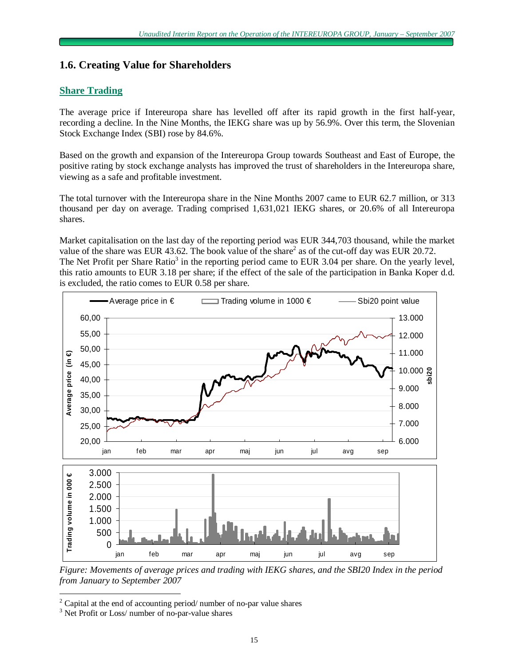# **1.6. Creating Value for Shareholders**

# **Share Trading**

The average price if Intereuropa share has levelled off after its rapid growth in the first half-year, recording a decline. In the Nine Months, the IEKG share was up by 56.9%. Over this term, the Slovenian Stock Exchange Index (SBI) rose by 84.6%.

Based on the growth and expansion of the Intereuropa Group towards Southeast and East of Europe, the positive rating by stock exchange analysts has improved the trust of shareholders in the Intereuropa share, viewing as a safe and profitable investment.

The total turnover with the Intereuropa share in the Nine Months 2007 came to EUR 62.7 million, or 313 thousand per day on average. Trading comprised 1,631,021 IEKG shares, or 20.6% of all Intereuropa shares.

Market capitalisation on the last day of the reporting period was EUR 344,703 thousand, while the market value of the share was EUR 43.62. The book value of the share<sup>2</sup> as of the cut-off day was EUR 20.72. The Net Profit per Share Ratio<sup>3</sup> in the reporting period came to EUR 3.04 per share. On the yearly level, this ratio amounts to EUR 3.18 per share; if the effect of the sale of the participation in Banka Koper d.d. is excluded, the ratio comes to EUR 0.58 per share.



*Figure: Movements of average prices and trading with IEKG shares, and the SBI20 Index in the period from January to September 2007* 

 $\overline{a}$ 

 $2$  Capital at the end of accounting period/ number of no-par value shares

<sup>&</sup>lt;sup>3</sup> Net Profit or Loss/ number of no-par-value shares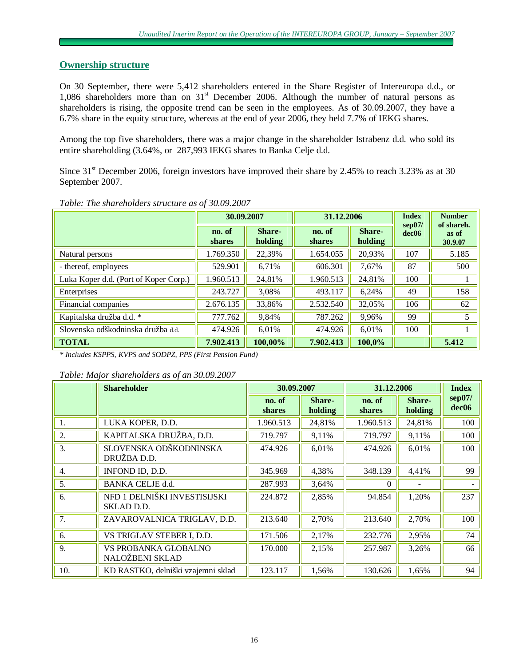# **Ownership structure**

On 30 September, there were 5,412 shareholders entered in the Share Register of Intereuropa d.d., or 1,086 shareholders more than on  $31<sup>st</sup>$  December 2006. Although the number of natural persons as shareholders is rising, the opposite trend can be seen in the employees. As of 30.09.2007, they have a 6.7% share in the equity structure, whereas at the end of year 2006, they held 7.7% of IEKG shares.

Among the top five shareholders, there was a major change in the shareholder Istrabenz d.d. who sold its entire shareholding (3.64%, or 287,993 IEKG shares to Banka Celje d.d.

Since 31<sup>st</sup> December 2006, foreign investors have improved their share by 2.45% to reach 3.23% as at 30 September 2007.

|                                       | 30.09.2007              |                   |                         | 31.12.2006        |                             | <b>Number</b><br>of shareh. |
|---------------------------------------|-------------------------|-------------------|-------------------------|-------------------|-----------------------------|-----------------------------|
|                                       | no. of<br><b>shares</b> | Share-<br>holding | no. of<br><b>shares</b> | Share-<br>holding | sep07/<br>dec <sub>06</sub> | as of<br>30.9.07            |
| Natural persons                       | 1.769.350               | 22,39%            | 1.654.055               | 20,93%            | 107                         | 5.185                       |
| - thereof, employees                  | 529.901                 | 6,71%             | 606.301                 | 7,67%             | 87                          | 500                         |
| Luka Koper d.d. (Port of Koper Corp.) | 1.960.513               | 24,81%            | 1.960.513               | 24,81%            | 100                         |                             |
| Enterprises                           | 243.727                 | 3,08%             | 493.117                 | 6,24%             | 49                          | 158                         |
| Financial companies                   | 2.676.135               | 33,86%            | 2.532.540               | 32,05%            | 106                         | 62                          |
| Kapitalska družba d.d. *              | 777.762                 | 9,84%             | 787.262                 | 9,96%             | 99                          | 5                           |
| Slovenska odškodninska družba d.d.    | 474.926                 | 6,01%             | 474.926                 | 6,01%             | 100                         |                             |
| <b>TOTAL</b>                          | 7.902.413               | 100,00%           | 7.902.413               | 100,0%            |                             | 5.412                       |

*Table: The shareholders structure as of 30.09.2007* 

*\* Includes KSPPS, KVPS and SODPZ, PPS (First Pension Fund)* 

*Table: Major shareholders as of an 30.09.2007* 

|     | <b>Shareholder</b>                         | 30.09.2007              |                   | 31.12.2006              | <b>Index</b>      |                             |
|-----|--------------------------------------------|-------------------------|-------------------|-------------------------|-------------------|-----------------------------|
|     |                                            | no. of<br><b>shares</b> | Share-<br>holding | no. of<br><b>shares</b> | Share-<br>holding | sep07/<br>dec <sub>06</sub> |
| 1.  | LUKA KOPER, D.D.                           | 1.960.513               | 24,81%            | 1.960.513               | 24,81%            | 100                         |
| 2.  | KAPITALSKA DRUŽBA, D.D.                    | 719.797                 | 9,11%             | 719.797                 | 9,11%             | 100                         |
| 3.  | SLOVENSKA ODŠKODNINSKA<br>DRUŽBA D.D.      | 474.926                 | 6,01%             | 474.926                 | 6,01%             | 100                         |
| 4.  | INFOND ID, D.D.                            | 345.969                 | 4,38%             | 348.139                 | 4,41%             | 99                          |
| 5.  | BANKA CELJE d.d.                           | 287.993                 | 3,64%             | $\Omega$                |                   |                             |
| 6.  | NFD 1 DELNIŠKI INVESTISIJSKI<br>SKLAD D.D. | 224.872                 | 2,85%             | 94.854                  | 1,20%             | 237                         |
| 7.  | ZAVAROVALNICA TRIGLAV, D.D.                | 213.640                 | 2,70%             | 213.640                 | 2,70%             | 100                         |
| 6.  | VS TRIGLAV STEBER I, D.D.                  | 171.506                 | 2,17%             | 232.776                 | 2,95%             | 74                          |
| 9.  | VS PROBANKA GLOBALNO<br>NALOŽBENI SKLAD    | 170.000                 | 2,15%             | 257.987                 | 3,26%             | 66                          |
| 10. | KD RASTKO, delniški vzajemni sklad         | 123.117                 | 1,56%             | 130.626                 | 1,65%             | 94                          |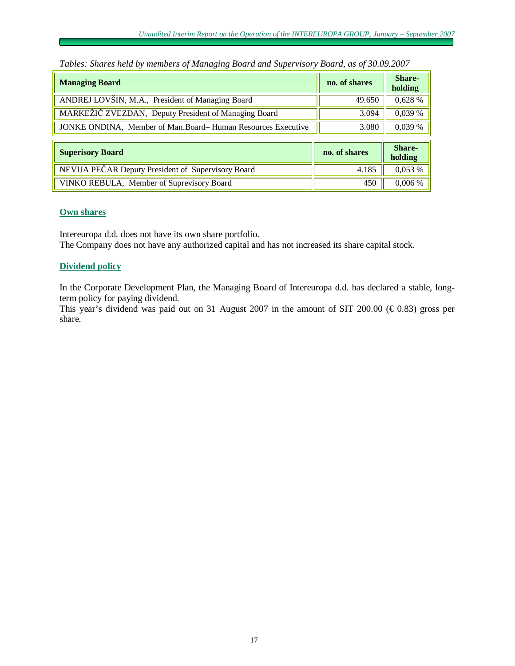| <b>Managing Board</b>                                       | no. of shares | Share-<br>holding |
|-------------------------------------------------------------|---------------|-------------------|
| ANDREJ LOVŠIN, M.A., President of Managing Board            | 49.650        | 0,628 %           |
| MARKEŽIČ ZVEZDAN, Deputy President of Managing Board        | 3.094         | 0,039 %           |
| JONKE ONDINA, Member of Man.Board-Human Resources Executive | 3.080         | 0,039 %           |
| <b>Superisory Board</b>                                     | no. of shares | Share-<br>holding |
| NEVIJA PEČAR Deputy President of Supervisory Board          | 4.185         | 0,053 %           |
| VINKO REBULA, Member of Suprevisory Board                   | 450           | 0,006 %           |

*Tables: Shares held by members of Managing Board and Supervisory Board, as of 30.09.2007* 

### **Own shares**

Intereuropa d.d. does not have its own share portfolio.

The Company does not have any authorized capital and has not increased its share capital stock.

# **Dividend policy**

In the Corporate Development Plan, the Managing Board of Intereuropa d.d. has declared a stable, longterm policy for paying dividend.

This year's dividend was paid out on 31 August 2007 in the amount of SIT 200.00 ( $\epsilon$ 0.83) gross per share.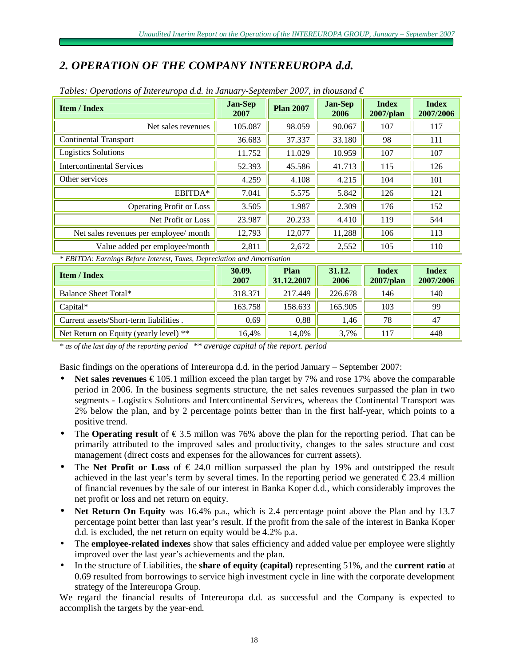# *2. OPERATION OF THE COMPANY INTEREUROPA d.d.*

| <b>Item / Index</b>                    | <b>Jan-Sep</b><br>2007 | <b>Plan 2007</b> | <b>Jan-Sep</b><br>2006 | <b>Index</b><br>$2007$ /plan | <b>Index</b><br>2007/2006 |
|----------------------------------------|------------------------|------------------|------------------------|------------------------------|---------------------------|
| Net sales revenues                     | 105.087                | 98.059           | 90.067                 | 107                          | 117                       |
| <b>Continental Transport</b>           | 36.683                 | 37.337           | 33.180                 | 98                           | 111                       |
| <b>Logistics Solutions</b>             | 11.752                 | 11.029           | 10.959                 | 107                          | 107                       |
| <b>Intercontinental Services</b>       | 52.393                 | 45.586           | 41.713                 | 115                          | 126                       |
| Other services                         | 4.259                  | 4.108            | 4.215                  | 104                          | 101                       |
| EBITDA*                                | 7.041                  | 5.575            | 5.842                  | 126                          | 121                       |
| <b>Operating Profit or Loss</b>        | 3.505                  | 1.987            | 2.309                  | 176                          | 152                       |
| Net Profit or Loss                     | 23.987                 | 20.233           | 4.410                  | 119                          | 544                       |
| Net sales revenues per employee/ month | 12,793                 | 12,077           | 11,288                 | 106                          | 113                       |
| Value added per employee/month         | 2,811                  | 2,672            | 2,552                  | 105                          | 110                       |

| Tables: Operations of Intereuropa d.d. in January-September 2007, in thousand $\epsilon$ |  |  |  |  |
|------------------------------------------------------------------------------------------|--|--|--|--|
|                                                                                          |  |  |  |  |

*\* EBITDA: Earnings Before Interest, Taxes, Depreciation and Amortisation*

| <b>Item / Index</b>                    | 30.09.<br>2007 | Plan<br>31.12.2007 | 31.12.<br>2006 | <b>Index</b><br>$2007$ /plan | <b>Index</b><br>2007/2006 |
|----------------------------------------|----------------|--------------------|----------------|------------------------------|---------------------------|
| Balance Sheet Total*                   | 318.371        | 217.449            | 226.678        | 146                          | 140                       |
| $Capital^*$                            | 163.758        | 158.633            | 165.905        | 103                          | 99                        |
| Current assets/Short-term liabilities. | 0,69           | 0,88               | 1,46           | 78                           | 47                        |
| Net Return on Equity (yearly level) ** | 16,4%          | 14.0%              | 3,7%           | 117                          | 448                       |

*\* as of the last day of the reporting period \*\* average capital of the report. period*

Basic findings on the operations of Intereuropa d.d. in the period January – September 2007:

- **Net sales revenues**  $\epsilon$  105.1 million exceed the plan target by 7% and rose 17% above the comparable period in 2006. In the business segments structure, the net sales revenues surpassed the plan in two segments - Logistics Solutions and Intercontinental Services, whereas the Continental Transport was 2% below the plan, and by 2 percentage points better than in the first half-year, which points to a positive trend.
- The **Operating result** of €3.5 millon was 76% above the plan for the reporting period. That can be primarily attributed to the improved sales and productivity, changes to the sales structure and cost management (direct costs and expenses for the allowances for current assets).
- The **Net Profit or Loss** of  $\epsilon$  24.0 million surpassed the plan by 19% and outstripped the result achieved in the last year's term by several times. In the reporting period we generated  $\epsilon$ 23.4 million of financial revenues by the sale of our interest in Banka Koper d.d., which considerably improves the net profit or loss and net return on equity.
- **Net Return On Equity** was 16.4% p.a., which is 2.4 percentage point above the Plan and by 13.7 percentage point better than last year's result. If the profit from the sale of the interest in Banka Koper d.d. is excluded, the net return on equity would be 4.2% p.a.
- The **employee-related indexes** show that sales efficiency and added value per employee were slightly improved over the last year's achievements and the plan.
- In the structure of Liabilities, the **share of equity (capital)** representing 51%, and the **current ratio** at 0.69 resulted from borrowings to service high investment cycle in line with the corporate development strategy of the Intereuropa Group.

We regard the financial results of Intereuropa d.d. as successful and the Company is expected to accomplish the targets by the year-end.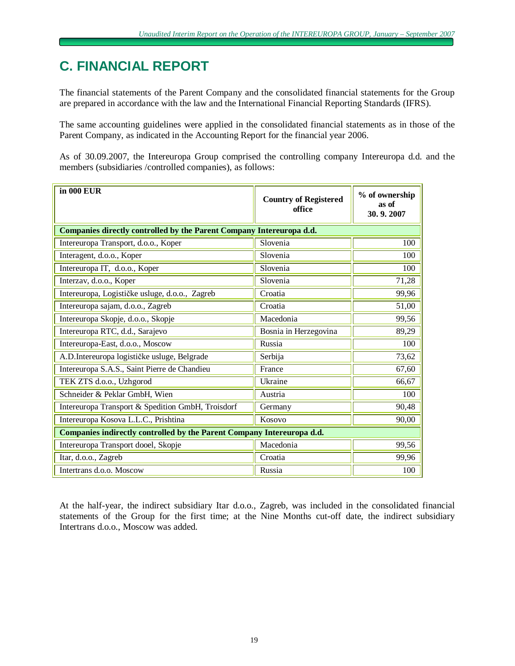# **C. FINANCIAL REPORT**

The financial statements of the Parent Company and the consolidated financial statements for the Group are prepared in accordance with the law and the International Financial Reporting Standards (IFRS).

The same accounting guidelines were applied in the consolidated financial statements as in those of the Parent Company, as indicated in the Accounting Report for the financial year 2006.

As of 30.09.2007, the Intereuropa Group comprised the controlling company Intereuropa d.d. and the members (subsidiaries /controlled companies), as follows:

| in 000 EUR                                                             | <b>Country of Registered</b><br>office | % of ownership<br>as of<br>30.9.2007 |  |  |
|------------------------------------------------------------------------|----------------------------------------|--------------------------------------|--|--|
| Companies directly controlled by the Parent Company Intereuropa d.d.   |                                        |                                      |  |  |
| Intereuropa Transport, d.o.o., Koper                                   | Slovenia                               | 100                                  |  |  |
| Interagent, d.o.o., Koper                                              | Slovenia                               | 100                                  |  |  |
| Intereuropa IT, d.o.o., Koper                                          | Slovenia                               | 100                                  |  |  |
| Interzav, d.o.o., Koper                                                | Slovenia                               | 71,28                                |  |  |
| Intereuropa, Logističke usluge, d.o.o., Zagreb                         | Croatia                                | 99,96                                |  |  |
| Intereuropa sajam, d.o.o., Zagreb                                      | Croatia                                | 51,00                                |  |  |
| Intereuropa Skopje, d.o.o., Skopje                                     | Macedonia                              | 99,56                                |  |  |
| Intereuropa RTC, d.d., Sarajevo                                        | Bosnia in Herzegovina                  | 89,29                                |  |  |
| Intereuropa-East, d.o.o., Moscow                                       | Russia                                 | 100                                  |  |  |
| A.D.Intereuropa logističke usluge, Belgrade                            | Serbija                                | 73,62                                |  |  |
| Intereuropa S.A.S., Saint Pierre de Chandieu                           | France                                 | 67,60                                |  |  |
| TEK ZTS d.o.o., Uzhgorod                                               | Ukraine                                | 66,67                                |  |  |
| Schneider & Peklar GmbH, Wien                                          | Austria                                | 100                                  |  |  |
| Intereuropa Transport & Spedition GmbH, Troisdorf                      | Germany                                | 90,48                                |  |  |
| Intereuropa Kosova L.L.C., Prishtina                                   | Kosovo                                 | 90,00                                |  |  |
| Companies indirectly controlled by the Parent Company Intereuropa d.d. |                                        |                                      |  |  |
| Intereuropa Transport dooel, Skopje                                    | Macedonia                              | 99,56                                |  |  |
| Itar, d.o.o., Zagreb                                                   | Croatia                                | 99,96                                |  |  |
| Intertrans d.o.o. Moscow                                               | Russia                                 | 100                                  |  |  |

At the half-year, the indirect subsidiary Itar d.o.o., Zagreb, was included in the consolidated financial statements of the Group for the first time; at the Nine Months cut-off date, the indirect subsidiary Intertrans d.o.o., Moscow was added.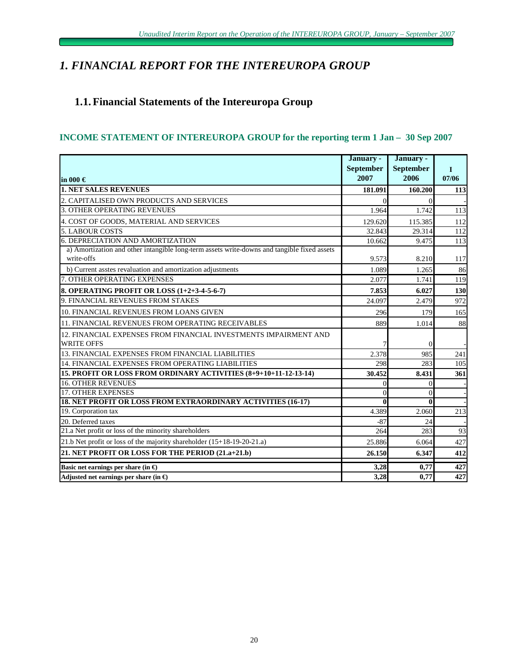# *1. FINANCIAL REPORT FOR THE INTEREUROPA GROUP*

# **1.1. Financial Statements of the Intereuropa Group**

# **INCOME STATEMENT OF INTEREUROPA GROUP for the reporting term 1 Jan – 30 Sep 2007**

|                                                                                             | January -        | January -        |       |
|---------------------------------------------------------------------------------------------|------------------|------------------|-------|
|                                                                                             | <b>September</b> | <b>September</b> | L     |
| lin 000 €                                                                                   | 2007             | 2006             | 07/06 |
| <b>1. NET SALES REVENUES</b>                                                                | 181.091          | 160.200          | 113   |
| 2. CAPITALISED OWN PRODUCTS AND SERVICES                                                    |                  | $\Omega$         |       |
| <b>3. OTHER OPERATING REVENUES</b>                                                          | 1.964            | 1.742            | 113   |
| 4. COST OF GOODS, MATERIAL AND SERVICES                                                     | 129.620          | 115.385          | 112   |
| <b>5. LABOUR COSTS</b>                                                                      | 32.843           | 29.314           | 112   |
| <b>6. DEPRECIATION AND AMORTIZATION</b>                                                     | 10.662           | 9.475            | 113   |
| a) Amortization and other intangible long-term assets write-downs and tangible fixed assets |                  |                  |       |
| write-offs                                                                                  | 9.573            | 8.210            | 117   |
| b) Current asstes revaluation and amortization adjustments                                  | 1.089            | 1.265            | 86    |
| 7. OTHER OPERATING EXPENSES                                                                 | 2.077            | 1.741            | 119   |
| 8. OPERATING PROFIT OR LOSS (1+2+3-4-5-6-7)                                                 | 7.853            | 6.027            | 130   |
| 9. FINANCIAL REVENUES FROM STAKES                                                           | 24.097           | 2.479            | 972   |
| 10. FINANCIAL REVENUES FROM LOANS GIVEN                                                     | 296              | 179              | 165   |
| 11. FINANCIAL REVENUES FROM OPERATING RECEIVABLES                                           | 889              | 1.014            | 88    |
| 12. FINANCIAL EXPENSES FROM FINANCIAL INVESTMENTS IMPAIRMENT AND                            |                  |                  |       |
| <b>WRITE OFFS</b>                                                                           |                  | 0                |       |
| 13. FINANCIAL EXPENSES FROM FINANCIAL LIABILITIES                                           | 2.378            | 985              | 241   |
| 14. FINANCIAL EXPENSES FROM OPERATING LIABILITIES                                           | 298              | 283              | 105   |
| 15. PROFIT OR LOSS FROM ORDINARY ACTIVITIES (8+9+10+11-12-13-14)                            | 30.452           | 8.431            | 361   |
| <b>16. OTHER REVENUES</b>                                                                   | $\Omega$         | $\theta$         |       |
| <b>17. OTHER EXPENSES</b>                                                                   | $\theta$         | $\theta$         |       |
| <b>18. NET PROFIT OR LOSS FROM EXTRAORDINARY ACTIVITIES (16-17)</b>                         | 0                | 0                |       |
| 19. Corporation tax                                                                         | 4.389            | 2.060            | 213   |
| 20. Deferred taxes                                                                          | $-87$            | 24               |       |
| 21.a Net profit or loss of the minority shareholders                                        | 264              | 283              | 93    |
| 21.b Net profit or loss of the majority shareholder (15+18-19-20-21.a)                      | 25.886           | 6.064            | 427   |
| 21. NET PROFIT OR LOSS FOR THE PERIOD (21.a+21.b)                                           | 26.150           | 6.347            | 412   |
| Basic net earnings per share (in $\bigoplus$ )                                              | 3,28             | 0,77             | 427   |
| Adjusted net earnings per share (in $\Theta$ )                                              | 3,28             | 0.77             | 427   |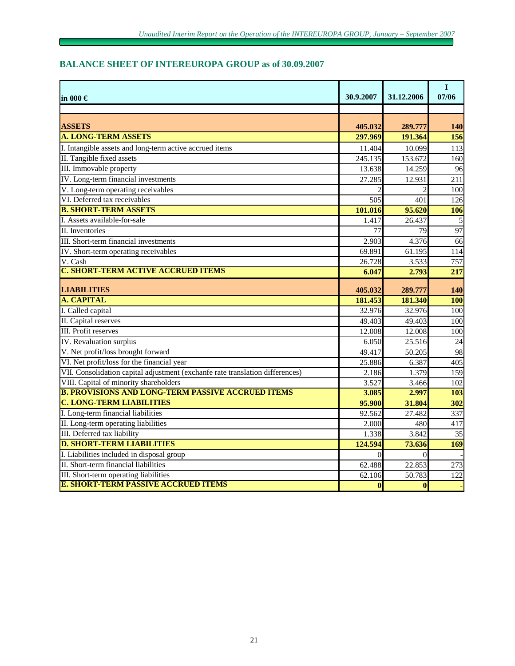# **BALANCE SHEET OF INTEREUROPA GROUP as of 30.09.2007**

| lin 000 €                                                                     | 30.9.2007      | 31.12.2006 | $\bf{I}$<br>07/06 |
|-------------------------------------------------------------------------------|----------------|------------|-------------------|
|                                                                               |                |            |                   |
| <b>ASSETS</b>                                                                 | 405.032        | 289.777    | <b>140</b>        |
| <b>A. LONG-TERM ASSETS</b>                                                    | 297.969        | 191.364    | 156               |
| I. Intangible assets and long-term active accrued items                       | 11.404         | 10.099     | 113               |
| II. Tangible fixed assets                                                     | 245.135        | 153.672    | 160               |
| III. Immovable property                                                       | 13.638         | 14.259     | 96                |
| IV. Long-term financial investments                                           | 27.285         | 12.931     | 211               |
| V. Long-term operating receivables                                            |                |            | 100               |
| VI. Deferred tax receivables                                                  | 505            | 401        | 126               |
| <b>B. SHORT-TERM ASSETS</b>                                                   | 101.016        | 95.620     | 106               |
| I. Assets available-for-sale                                                  | 1.417          | 26.437     | 5                 |
| II. Inventories                                                               | 77             | 79         | 97                |
| III. Short-term financial investments                                         | 2.903          | 4.376      | 66                |
| IV. Short-term operating receivables                                          | 69.891         | 61.195     | 114               |
| V. Cash                                                                       | 26.728         | 3.533      | 757               |
| <b>C. SHORT-TERM ACTIVE ACCRUED ITEMS</b>                                     | 6.047          | 2.793      | 217               |
| <b>LIABILITIES</b>                                                            | 405.032        | 289.777    | <b>140</b>        |
| <b>A. CAPITAL</b>                                                             | 181.453        | 181.340    | 100               |
| I. Called capital                                                             | 32.976         | 32.976     | 100               |
| II. Capital reserves                                                          | 49.403         | 49.403     | 100               |
| III. Profit reserves                                                          | 12.008         | 12.008     | 100               |
| <b>IV.</b> Revaluation surplus                                                | 6.050          | 25.516     | 24                |
| V. Net profit/loss brought forward                                            | 49.417         | 50.205     | 98                |
| VI. Net profit/loss for the financial year                                    | 25.886         | 6.387      | 405               |
| VII. Consolidation capital adjustment (exchanfe rate translation differences) | 2.186          | 1.379      | 159               |
| VIII. Capital of minority shareholders                                        | 3.527          | 3.466      | 102               |
| <b>B. PROVISIONS AND LONG-TERM PASSIVE ACCRUED ITEMS</b>                      | 3.085          | 2.997      | 103               |
| <b>C. LONG-TERM LIABILITIES</b>                                               | 95.900         | 31.804     | 302               |
| I. Long-term financial liabilities                                            | 92.562         | 27.482     | 337               |
| II. Long-term operating liabilities                                           | 2.000          | 480        | 417               |
| III. Deferred tax liability                                                   | 1.338          | 3.842      | 35                |
| <b>D. SHORT-TERM LIABILITIES</b>                                              | 124.594        | 73.636     | 169               |
| I. Liabilities included in disposal group                                     | $\overline{0}$ | $\Omega$   |                   |
| II. Short-term financial liabilities                                          | 62.488         | 22.853     | 273               |
| III. Short-term operating liabilities                                         | 62.106         | 50.783     | 122               |
| <b>E. SHORT-TERM PASSIVE ACCRUED ITEMS</b>                                    | $\bf{0}$       | $\bf{0}$   |                   |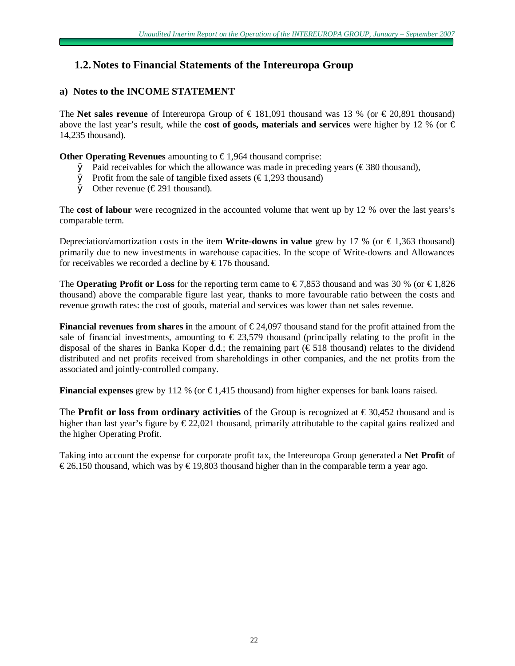# **1.2. Notes to Financial Statements of the Intereuropa Group**

# **a) Notes to the INCOME STATEMENT**

The **Net sales revenue** of Intereuropa Group of € 181,091 thousand was 13 % (or € 20,891 thousand) above the last year's result, while the **cost of goods, materials and services** were higher by 12 % (or  $\in$ 14,235 thousand).

**Other Operating Revenues** amounting to € 1,964 thousand comprise:

- $\emptyset$  Paid receivables for which the allowance was made in preceding years ( $\epsilon$ 380 thousand),
- $\emptyset$  Profit from the sale of tangible fixed assets ( $\epsilon$ 1,293 thousand)
- $\emptyset$  Other revenue (€291 thousand).

The **cost of labour** were recognized in the accounted volume that went up by 12 % over the last years's comparable term.

Depreciation/amortization costs in the item **Write-downs in value** grew by 17 % (or  $\in$  1,363 thousand) primarily due to new investments in warehouse capacities. In the scope of Write-downs and Allowances for receivables we recorded a decline by  $\epsilon$ 176 thousand.

The **Operating Profit or Loss** for the reporting term came to  $\in 7,853$  thousand and was 30 % (or  $\in 1,826$ thousand) above the comparable figure last year, thanks to more favourable ratio between the costs and revenue growth rates: the cost of goods, material and services was lower than net sales revenue.

**Financial revenues from shares i**n the amount of € 24,097 thousand stand for the profit attained from the sale of financial investments, amounting to  $\epsilon$  23,579 thousand (principally relating to the profit in the disposal of the shares in Banka Koper d.d.; the remaining part ( $\epsilon$  518 thousand) relates to the dividend distributed and net profits received from shareholdings in other companies, and the net profits from the associated and jointly-controlled company.

**Financial expenses** grew by 112 % (or  $\epsilon$ 1,415 thousand) from higher expenses for bank loans raised.

The **Profit or loss from ordinary activities** of the Group is recognized at  $\in$  30,452 thousand and is higher than last year's figure by  $\epsilon$ 22,021 thousand, primarily attributable to the capital gains realized and the higher Operating Profit.

Taking into account the expense for corporate profit tax, the Intereuropa Group generated a **Net Profit** of  $\epsilon$ 26,150 thousand, which was by  $\epsilon$ 19,803 thousand higher than in the comparable term a year ago.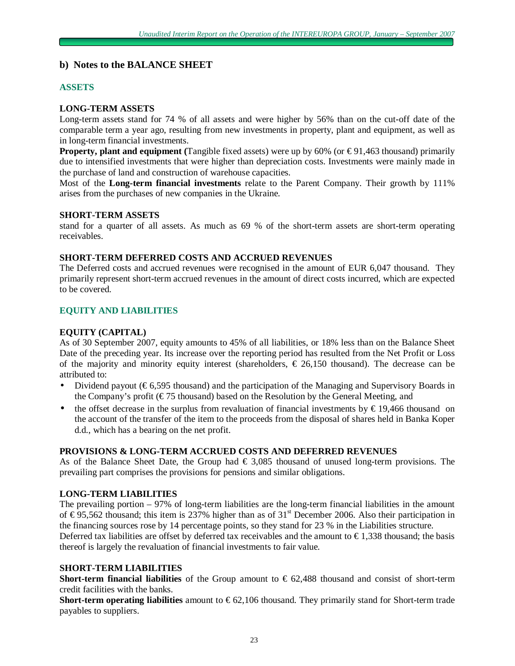# **b) Notes to the BALANCE SHEET**

# **ASSETS**

### **LONG-TERM ASSETS**

Long-term assets stand for 74 % of all assets and were higher by 56% than on the cut-off date of the comparable term a year ago, resulting from new investments in property, plant and equipment, as well as in long-term financial investments.

**Property, plant and equipment** (Tangible fixed assets) were up by  $60\%$  (or  $\text{\textsterling}91,463$  thousand) primarily due to intensified investments that were higher than depreciation costs. Investments were mainly made in the purchase of land and construction of warehouse capacities.

Most of the **Long-term financial investments** relate to the Parent Company. Their growth by 111% arises from the purchases of new companies in the Ukraine.

### **SHORT-TERM ASSETS**

stand for a quarter of all assets. As much as 69 % of the short-term assets are short-term operating receivables.

### **SHORT-TERM DEFERRED COSTS AND ACCRUED REVENUES**

The Deferred costs and accrued revenues were recognised in the amount of EUR 6,047 thousand. They primarily represent short-term accrued revenues in the amount of direct costs incurred, which are expected to be covered.

### **EQUITY AND LIABILITIES**

### **EQUITY (CAPITAL)**

As of 30 September 2007, equity amounts to 45% of all liabilities, or 18% less than on the Balance Sheet Date of the preceding year. Its increase over the reporting period has resulted from the Net Profit or Loss of the majority and minority equity interest (shareholders,  $\epsilon$  26,150 thousand). The decrease can be attributed to:

- Dividend payout ( $\epsilon$ 6,595 thousand) and the participation of the Managing and Supervisory Boards in the Company's profit ( $\epsilon$ 75 thousand) based on the Resolution by the General Meeting, and
- the offset decrease in the surplus from revaluation of financial investments by  $\epsilon$ 19,466 thousand on the account of the transfer of the item to the proceeds from the disposal of shares held in Banka Koper d.d., which has a bearing on the net profit.

### **PROVISIONS & LONG-TERM ACCRUED COSTS AND DEFERRED REVENUES**

As of the Balance Sheet Date, the Group had  $\epsilon$  3,085 thousand of unused long-term provisions. The prevailing part comprises the provisions for pensions and similar obligations.

### **LONG-TERM LIABILITIES**

The prevailing portion – 97% of long-term liabilities are the long-term financial liabilities in the amount of  $\epsilon$ 95,562 thousand; this item is 237% higher than as of 31<sup>st</sup> December 2006. Also their participation in the financing sources rose by 14 percentage points, so they stand for 23 % in the Liabilities structure. Deferred tax liabilities are offset by deferred tax receivables and the amount to  $\epsilon$ 1,338 thousand; the basis thereof is largely the revaluation of financial investments to fair value.

### **SHORT-TERM LIABILITIES**

**Short-term financial liabilities** of the Group amount to € 62,488 thousand and consist of short-term credit facilities with the banks.

**Short-term operating liabilities** amount to  $\epsilon$ 62,106 thousand. They primarily stand for Short-term trade payables to suppliers.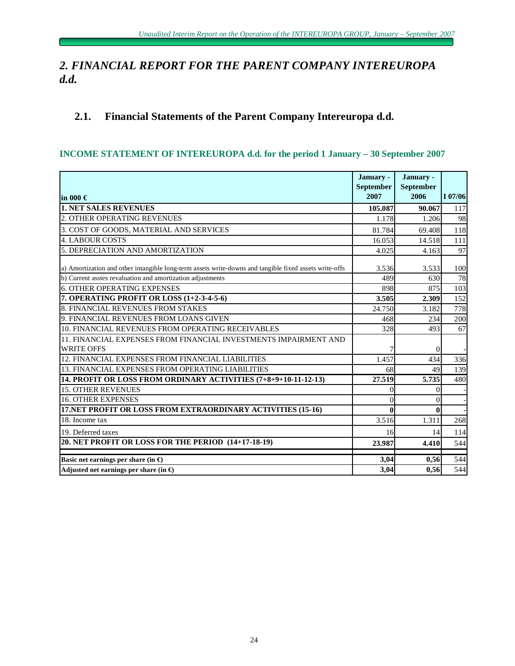# *2. FINANCIAL REPORT FOR THE PARENT COMPANY INTEREUROPA d.d.*

# **2.1. Financial Statements of the Parent Company Intereuropa d.d.**

# **INCOME STATEMENT OF INTEREUROPA d.d. for the period 1 January – 30 September 2007**

| in 000 $\in$                                                                                           | January -<br>September<br>2007 | January -<br><b>September</b><br>2006 | I 07/06 |
|--------------------------------------------------------------------------------------------------------|--------------------------------|---------------------------------------|---------|
| <b>1. NET SALES REVENUES</b>                                                                           | 105.087                        | 90.067                                | 117     |
| 2. OTHER OPERATING REVENUES                                                                            | 1.178                          | 1.206                                 | 98      |
| 3. COST OF GOODS, MATERIAL AND SERVICES                                                                | 81.784                         | 69.408                                | 118     |
| <b>4. LABOUR COSTS</b>                                                                                 | 16.053                         | 14.518                                | 111     |
| 5. DEPRECIATION AND AMORTIZATION                                                                       | 4.025                          | 4.163                                 | 97      |
| a) Amortization and other intangible long-term assets write-downs and tangible fixed assets write-offs | 3.536                          | 3.533                                 | 100     |
| b) Current asstes revaluation and amortization adjustments                                             | 489                            | 630                                   | 78      |
| <b>6. OTHER OPERATING EXPENSES</b>                                                                     | 898                            | 875                                   | 103     |
| 7. OPERATING PROFIT OR LOSS (1+2-3-4-5-6)                                                              | 3.505                          | 2.309                                 | 152     |
| 8. FINANCIAL REVENUES FROM STAKES                                                                      | 24.750                         | 3.182                                 | 778     |
| 9. FINANCIAL REVENUES FROM LOANS GIVEN                                                                 | 468                            | 234                                   | 200     |
| 10. FINANCIAL REVENUES FROM OPERATING RECEIVABLES                                                      | 328                            | 493                                   | 67      |
| 11. FINANCIAL EXPENSES FROM FINANCIAL INVESTMENTS IMPAIRMENT AND                                       |                                |                                       |         |
| <b>WRITE OFFS</b>                                                                                      |                                | $\Omega$                              |         |
| 12. FINANCIAL EXPENSES FROM FINANCIAL LIABILITIES                                                      | 1.457                          | 434                                   | 336     |
| 13. FINANCIAL EXPENSES FROM OPERATING LIABILITIES                                                      | 68                             | 49                                    | 139     |
| 14. PROFIT OR LOSS FROM ORDINARY ACTIVITIES (7+8+9+10-11-12-13)                                        | 27.519                         | 5.735                                 | 480     |
| <b>15. OTHER REVENUES</b>                                                                              | 0                              | $\Omega$                              |         |
| <b>16. OTHER EXPENSES</b>                                                                              | 0                              | $\Omega$                              |         |
| 17.NET PROFIT OR LOSS FROM EXTRAORDINARY ACTIVITIES (15-16)                                            | 0                              | $\mathbf{0}$                          |         |
| 18. Income tax                                                                                         | 3.516                          | 1.311                                 | 268     |
| 19. Deferred taxes                                                                                     | 16                             | 14                                    | 114     |
| 20. NET PROFIT OR LOSS FOR THE PERIOD (14+17-18-19)                                                    | 23.987                         | 4.410                                 | 544     |
| Basic net earnings per share (in $\bigoplus$                                                           | 3,04                           | 0,56                                  | 544     |
| Adjusted net earnings per share (in $\bigoplus$                                                        | 3,04                           | 0,56                                  | 544     |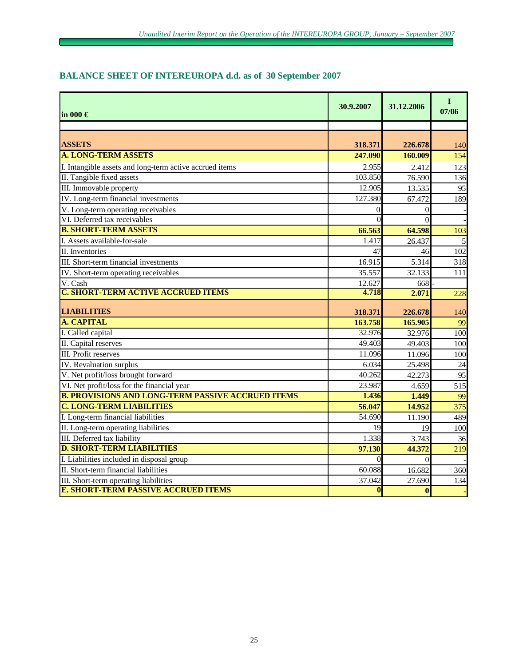# **in 000 € 30.9.2007 31.12.2006 <sup>I</sup> 07/06 ASSETS 318.371 226.678** 140 **A. LONG-TERM ASSETS 247.090 160.009** 154 I. Intangible assets and long-term active accrued items 2.955 2.412 123 II. Tangible fixed assets  $103.850$   $76.590$   $136$ III. Immovable property 12.905 13.535 95 IV. Long-term financial investments  $127.380$  67.472 189 V. Long-term operating receivables 0 0 - VI. Deferred tax receivables  $\begin{array}{ccc} 0 & 0 \\ 0 & 0 \end{array}$ **B. SHORT-TERM ASSETS 66.563 64.598** 103 I. Assets available-for-sale  $1.417$   $26.437$   $5$ II. Inventories  $\begin{array}{ccc} 47 & 46 & 102 \end{array}$ III. Short-term financial investments  $16.915$   $5.314$   $318$ IV. Short-term operating receivables 35.557 32.133 111 V. Cash 668 - 668 - 672 668 - 672 668 - 672 672 672 672 672 672 673 674 672 672 672 673 672 672 672 672 672 67 **C. SHORT-TERM ACTIVE ACCRUED ITEMS 4.718 2.071** 228 **LIABILITIES 318.371 226.678** 140 **A. CAPITAL 163.758 165.905** 99 I. Called capital 32.976 32.976 32.976 100 II. Capital reserves  $\begin{array}{ccc} 49.403 & 49.403 \\ 49.403 & 49.403 \end{array}$ III. Profit reserves 11.096 11.096 100 **IV.** Revaluation surplus 24 V. Net profit/loss brought forward  $\begin{array}{ccc} 40.262 & 42.273 \end{array}$  95 VI. Net profit/loss for the financial year 23.987  $4.659$  515 **B. PROVISIONS AND LONG-TERM PASSIVE ACCRUED ITEMS 1.436 1.449** 99 **C. LONG-TERM LIABILITIES 56.047 14.952** 375 I. Long-term financial liabilities 54.690 11.190 489 II. Long-term operating liabilities 19 100 100 III. Deferred tax liability 3.743 36 **D. SHORT-TERM LIABILITIES 97.130 44.372** 219 I. Liabilities included in disposal group 0 0 - II. Short-term financial liabilities 60.088 16.682 360 III. Short-term operating liabilities 37.042 27.690 134 **E. SHORT-TERM PASSIVE ACCRUED ITEMS 0 0** -

### **BALANCE SHEET OF INTEREUROPA d.d. as of 30 September 2007**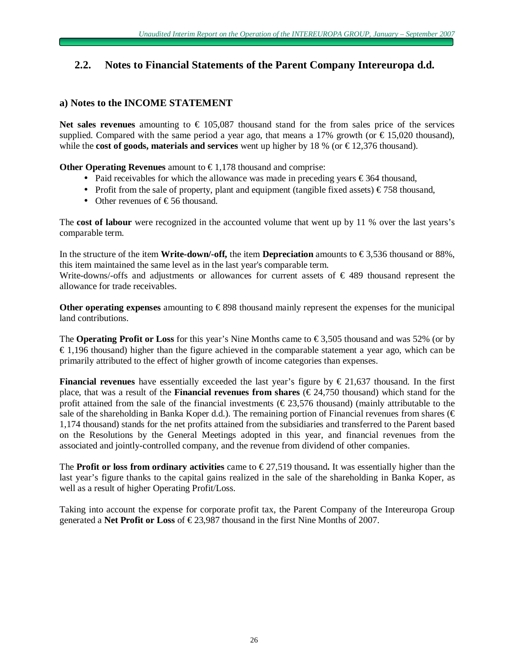# **2.2. Notes to Financial Statements of the Parent Company Intereuropa d.d.**

# **a) Notes to the INCOME STATEMENT**

Net sales revenues amounting to  $\epsilon$  105,087 thousand stand for the from sales price of the services supplied. Compared with the same period a year ago, that means a 17% growth (or  $\epsilon$ 15,020 thousand), while the **cost of goods, materials and services** went up higher by 18 % (or  $\epsilon$ 12,376 thousand).

**Other Operating Revenues** amount to  $\epsilon$ 1,178 thousand and comprise:

- Paid receivables for which the allowance was made in preceding years €364 thousand,
- Profit from the sale of property, plant and equipment (tangible fixed assets)  $\epsilon$ 758 thousand,
- Other revenues of  $E$ 56 thousand.

The **cost of labour** were recognized in the accounted volume that went up by 11 % over the last years's comparable term.

In the structure of the item **Write-down/-off,** the item **Depreciation** amounts to  $\epsilon$ 3,536 thousand or 88%, this item maintained the same level as in the last year's comparable term.

Write-downs/-offs and adjustments or allowances for current assets of  $\epsilon$  489 thousand represent the allowance for trade receivables.

**Other operating expenses** amounting to € 898 thousand mainly represent the expenses for the municipal land contributions.

The **Operating Profit or Loss** for this year's Nine Months came to € 3,505 thousand and was 52% (or by  $\epsilon$ 1,196 thousand) higher than the figure achieved in the comparable statement a year ago, which can be primarily attributed to the effect of higher growth of income categories than expenses.

**Financial revenues** have essentially exceeded the last year's figure by  $\epsilon$  21,637 thousand. In the first place, that was a result of the **Financial revenues from shares**  $(\text{\textless } 24,750)$  thousand) which stand for the profit attained from the sale of the financial investments ( $\epsilon$ 23,576 thousand) (mainly attributable to the sale of the shareholding in Banka Koper d.d.). The remaining portion of Financial revenues from shares ( $\epsilon$ 1,174 thousand) stands for the net profits attained from the subsidiaries and transferred to the Parent based on the Resolutions by the General Meetings adopted in this year, and financial revenues from the associated and jointly-controlled company, and the revenue from dividend of other companies.

The **Profit** or loss from ordinary activities came to  $\epsilon$ 27,519 thousand. It was essentially higher than the last year's figure thanks to the capital gains realized in the sale of the shareholding in Banka Koper, as well as a result of higher Operating Profit/Loss.

Taking into account the expense for corporate profit tax, the Parent Company of the Intereuropa Group generated a **Net Profit or Loss** of € 23,987 thousand in the first Nine Months of 2007.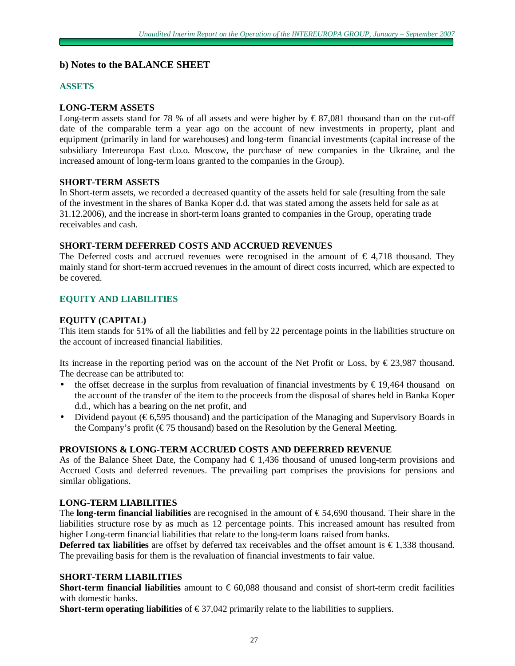# **b) Notes to the BALANCE SHEET**

### **ASSETS**

### **LONG-TERM ASSETS**

Long-term assets stand for 78 % of all assets and were higher by  $\epsilon$ 87,081 thousand than on the cut-off date of the comparable term a year ago on the account of new investments in property, plant and equipment (primarily in land for warehouses) and long-term financial investments (capital increase of the subsidiary Intereuropa East d.o.o. Moscow, the purchase of new companies in the Ukraine, and the increased amount of long-term loans granted to the companies in the Group).

### **SHORT-TERM ASSETS**

In Short-term assets, we recorded a decreased quantity of the assets held for sale (resulting from the sale of the investment in the shares of Banka Koper d.d. that was stated among the assets held for sale as at 31.12.2006), and the increase in short-term loans granted to companies in the Group, operating trade receivables and cash.

### **SHORT-TERM DEFERRED COSTS AND ACCRUED REVENUES**

The Deferred costs and accrued revenues were recognised in the amount of  $\epsilon$  4,718 thousand. They mainly stand for short-term accrued revenues in the amount of direct costs incurred, which are expected to be covered.

### **EQUITY AND LIABILITIES**

### **EQUITY (CAPITAL)**

This item stands for 51% of all the liabilities and fell by 22 percentage points in the liabilities structure on the account of increased financial liabilities.

Its increase in the reporting period was on the account of the Net Profit or Loss, by  $\epsilon$ 23,987 thousand. The decrease can be attributed to:

- the offset decrease in the surplus from revaluation of financial investments by € 19,464 thousand on the account of the transfer of the item to the proceeds from the disposal of shares held in Banka Koper d.d., which has a bearing on the net profit, and
- Dividend payout (€ 6,595 thousand) and the participation of the Managing and Supervisory Boards in the Company's profit ( $\epsilon$ 75 thousand) based on the Resolution by the General Meeting.

### **PROVISIONS & LONG-TERM ACCRUED COSTS AND DEFERRED REVENUE**

As of the Balance Sheet Date, the Company had  $\epsilon$  1,436 thousand of unused long-term provisions and Accrued Costs and deferred revenues. The prevailing part comprises the provisions for pensions and similar obligations.

### **LONG-TERM LIABILITIES**

The **long-term financial liabilities** are recognised in the amount of € 54,690 thousand. Their share in the liabilities structure rose by as much as 12 percentage points. This increased amount has resulted from higher Long-term financial liabilities that relate to the long-term loans raised from banks.

**Deferred tax liabilities** are offset by deferred tax receivables and the offset amount is €1,338 thousand. The prevailing basis for them is the revaluation of financial investments to fair value.

### **SHORT-TERM LIABILITIES**

**Short-term financial liabilities** amount to € 60,088 thousand and consist of short-term credit facilities with domestic banks.

**Short-term operating liabilities** of  $\epsilon$ 37,042 primarily relate to the liabilities to suppliers.